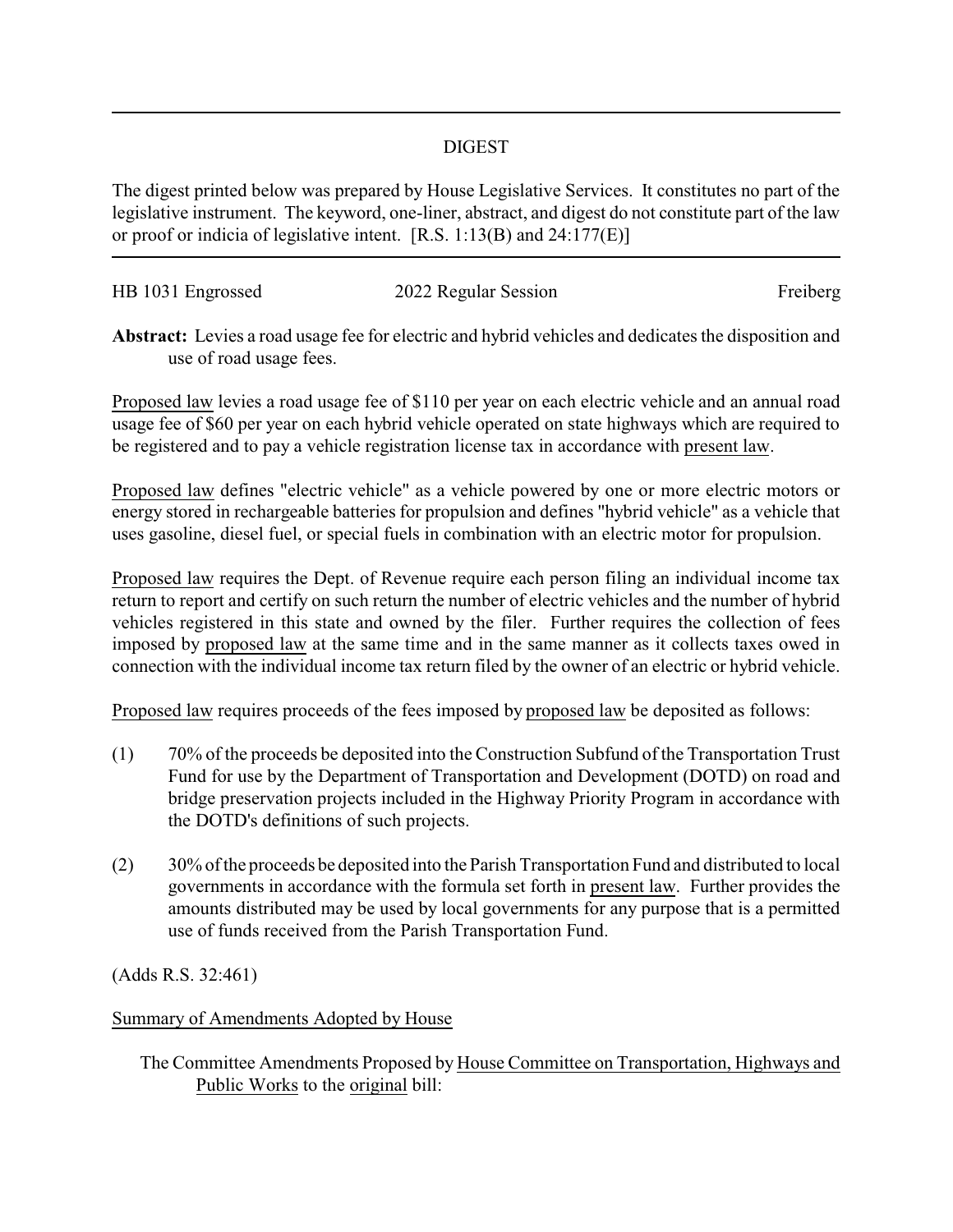## DIGEST

The digest printed below was prepared by House Legislative Services. It constitutes no part of the legislative instrument. The keyword, one-liner, abstract, and digest do not constitute part of the law or proof or indicia of legislative intent. [R.S. 1:13(B) and 24:177(E)]

| HB 1031 Engrossed | 2022 Regular Session | Freiberg |
|-------------------|----------------------|----------|
|                   |                      |          |

**Abstract:** Levies a road usage fee for electric and hybrid vehicles and dedicates the disposition and use of road usage fees.

Proposed law levies a road usage fee of \$110 per year on each electric vehicle and an annual road usage fee of \$60 per year on each hybrid vehicle operated on state highways which are required to be registered and to pay a vehicle registration license tax in accordance with present law.

Proposed law defines "electric vehicle" as a vehicle powered by one or more electric motors or energy stored in rechargeable batteries for propulsion and defines "hybrid vehicle" as a vehicle that uses gasoline, diesel fuel, or special fuels in combination with an electric motor for propulsion.

Proposed law requires the Dept. of Revenue require each person filing an individual income tax return to report and certify on such return the number of electric vehicles and the number of hybrid vehicles registered in this state and owned by the filer. Further requires the collection of fees imposed by proposed law at the same time and in the same manner as it collects taxes owed in connection with the individual income tax return filed by the owner of an electric or hybrid vehicle.

Proposed law requires proceeds of the fees imposed by proposed law be deposited as follows:

- (1) 70% of the proceeds be deposited into the Construction Subfund of the Transportation Trust Fund for use by the Department of Transportation and Development (DOTD) on road and bridge preservation projects included in the Highway Priority Program in accordance with the DOTD's definitions of such projects.
- (2) 30% of the proceeds be deposited into the Parish Transportation Fund and distributed to local governments in accordance with the formula set forth in present law. Further provides the amounts distributed may be used by local governments for any purpose that is a permitted use of funds received from the Parish Transportation Fund.

(Adds R.S. 32:461)

Summary of Amendments Adopted by House

The Committee Amendments Proposed by House Committee on Transportation, Highways and Public Works to the original bill: